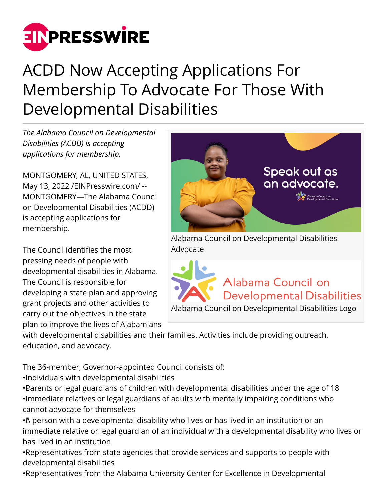

## ACDD Now Accepting Applications For Membership To Advocate For Those With Developmental Disabilities

*The Alabama Council on Developmental Disabilities (ACDD) is accepting applications for membership.* 

MONTGOMERY, AL, UNITED STATES, May 13, 2022 [/EINPresswire.com](http://www.einpresswire.com)/ -- MONTGOMERY—The Alabama Council on Developmental Disabilities (ACDD) is accepting applications for membership.

The Council identifies the most pressing needs of people with developmental disabilities in Alabama. The Council is responsible for developing a state plan and approving grant projects and other activities to carry out the objectives in the state plan to improve the lives of Alabamians

**Speak out as** an advocate. Alabama Council on Developmental Disabilities Advocate

Alabama Council on **Developmental Disabilities** Alabama Council on Developmental Disabilities Logo

with developmental disabilities and their families. Activities include providing outreach, education, and advocacy.

The 36-member, Governor-appointed Council consists of:

• Individuals with developmental disabilities

• Parents or legal guardians of children with developmental disabilities under the age of 18 • Immediate relatives or legal guardians of adults with mentally impairing conditions who cannot advocate for themselves

• A person with a developmental disability who lives or has lived in an institution or an immediate relative or legal guardian of an individual with a developmental disability who lives or has lived in an institution

• Representatives from state agencies that provide services and supports to people with developmental disabilities

• Representatives from the Alabama University Center for Excellence in Developmental